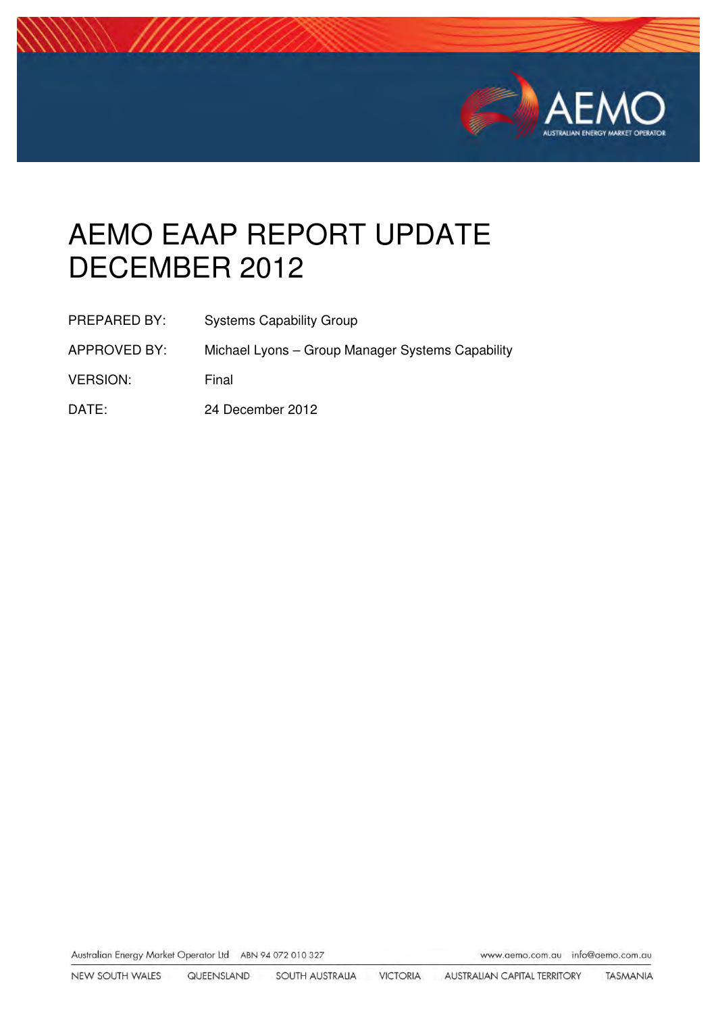

# AEMO EAAP REPORT UPDATE DECEMBER 2012

APPROVED BY: Michael Lyons – Group Manager Systems Capability

VERSION: Final

DATE: 24 December 2012

Australian Energy Market Operator Ltd ABN 94 072 010 327

www.aemo.com.au info@aemo.com.au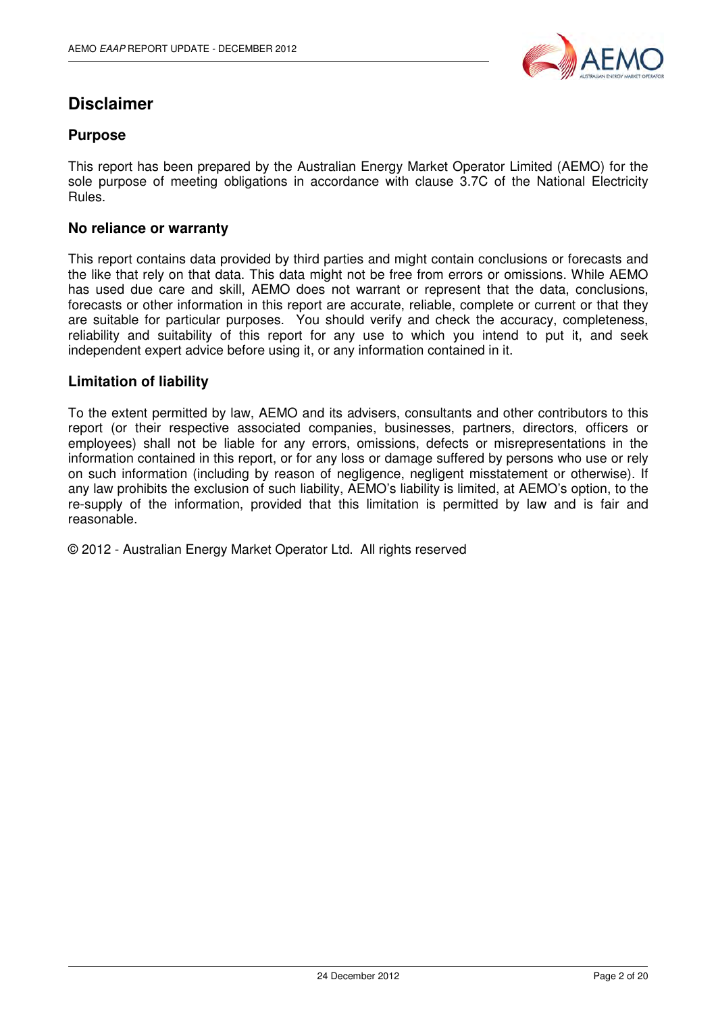

## **Disclaimer**

#### **Purpose**

This report has been prepared by the Australian Energy Market Operator Limited (AEMO) for the sole purpose of meeting obligations in accordance with clause 3.7C of the National Electricity Rules.

#### **No reliance or warranty**

This report contains data provided by third parties and might contain conclusions or forecasts and the like that rely on that data. This data might not be free from errors or omissions. While AEMO has used due care and skill, AEMO does not warrant or represent that the data, conclusions, forecasts or other information in this report are accurate, reliable, complete or current or that they are suitable for particular purposes. You should verify and check the accuracy, completeness, reliability and suitability of this report for any use to which you intend to put it, and seek independent expert advice before using it, or any information contained in it.

#### **Limitation of liability**

To the extent permitted by law, AEMO and its advisers, consultants and other contributors to this report (or their respective associated companies, businesses, partners, directors, officers or employees) shall not be liable for any errors, omissions, defects or misrepresentations in the information contained in this report, or for any loss or damage suffered by persons who use or rely on such information (including by reason of negligence, negligent misstatement or otherwise). If any law prohibits the exclusion of such liability, AEMO's liability is limited, at AEMO's option, to the re-supply of the information, provided that this limitation is permitted by law and is fair and reasonable.

© 2012 - Australian Energy Market Operator Ltd. All rights reserved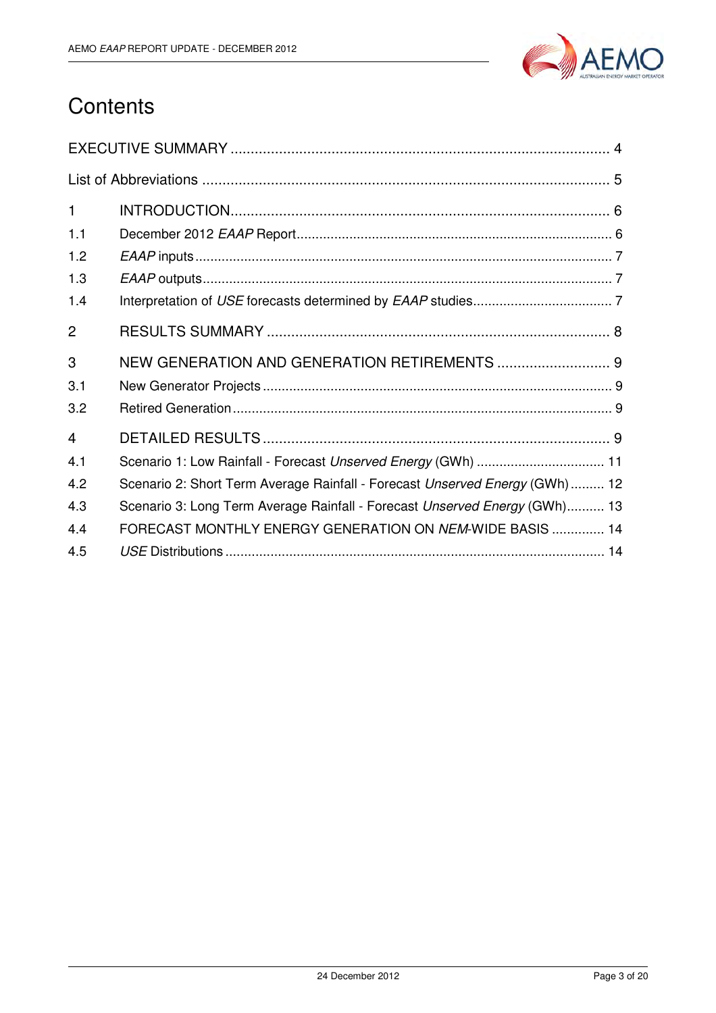

## **Contents**

| $\mathbf{1}$   |                                                                             |
|----------------|-----------------------------------------------------------------------------|
| 1.1            |                                                                             |
| 1.2            |                                                                             |
| 1.3            |                                                                             |
| 1.4            |                                                                             |
| $\overline{2}$ |                                                                             |
| 3              | NEW GENERATION AND GENERATION RETIREMENTS  9                                |
| 3.1            |                                                                             |
| 3.2            |                                                                             |
| $\overline{4}$ |                                                                             |
| 4.1            | Scenario 1: Low Rainfall - Forecast Unserved Energy (GWh)  11               |
| 4.2            | Scenario 2: Short Term Average Rainfall - Forecast Unserved Energy (GWh) 12 |
| 4.3            | Scenario 3: Long Term Average Rainfall - Forecast Unserved Energy (GWh) 13  |
| 4.4            | FORECAST MONTHLY ENERGY GENERATION ON NEM-WIDE BASIS  14                    |
| 4.5            |                                                                             |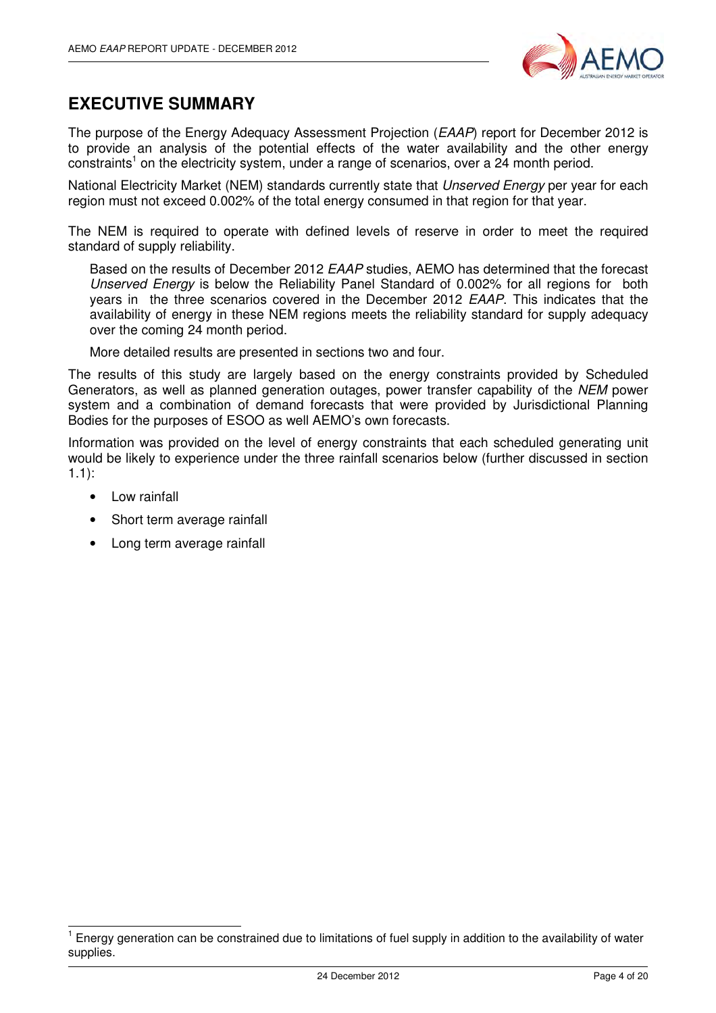

#### **EXECUTIVE SUMMARY**

The purpose of the Energy Adequacy Assessment Projection (EAAP) report for December 2012 is to provide an analysis of the potential effects of the water availability and the other energy constraints<sup>1</sup> on the electricity system, under a range of scenarios, over a 24 month period.

National Electricity Market (NEM) standards currently state that *Unserved Energy* per year for each region must not exceed 0.002% of the total energy consumed in that region for that year.

The NEM is required to operate with defined levels of reserve in order to meet the required standard of supply reliability.

Based on the results of December 2012 EAAP studies, AEMO has determined that the forecast Unserved Energy is below the Reliability Panel Standard of 0.002% for all regions for both years in the three scenarios covered in the December 2012 EAAP. This indicates that the availability of energy in these NEM regions meets the reliability standard for supply adequacy over the coming 24 month period.

More detailed results are presented in sections two and four.

The results of this study are largely based on the energy constraints provided by Scheduled Generators, as well as planned generation outages, power transfer capability of the NEM power system and a combination of demand forecasts that were provided by Jurisdictional Planning Bodies for the purposes of ESOO as well AEMO's own forecasts.

Information was provided on the level of energy constraints that each scheduled generating unit would be likely to experience under the three rainfall scenarios below (further discussed in section 1.1):

• Low rainfall

j

- Short term average rainfall
- Long term average rainfall

<sup>1</sup> Energy generation can be constrained due to limitations of fuel supply in addition to the availability of water supplies.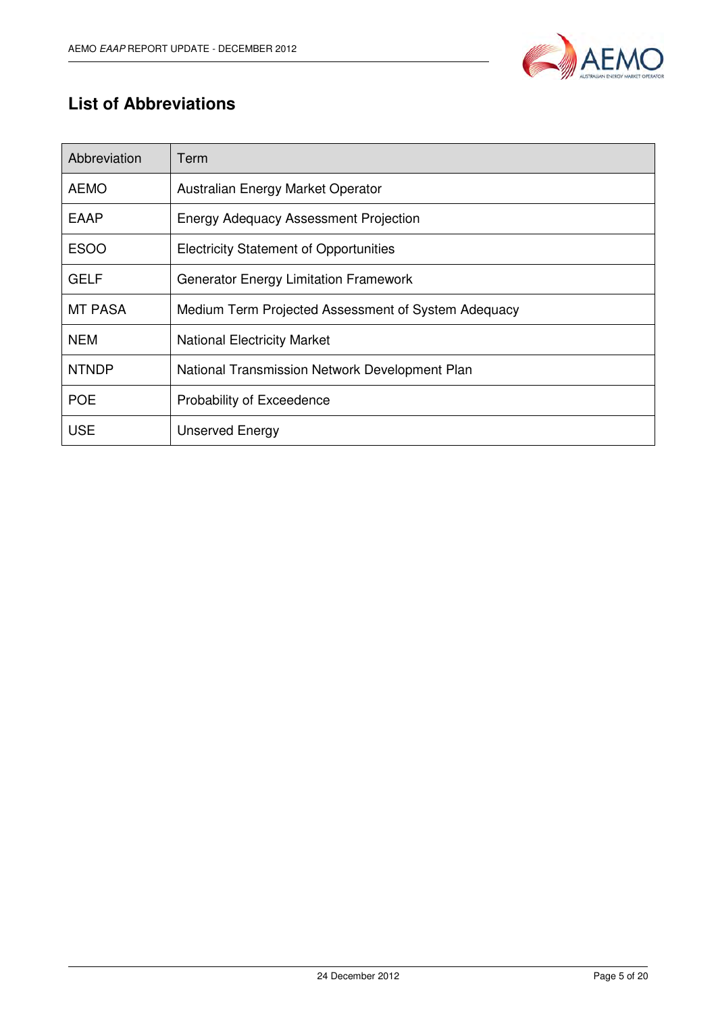

## **List of Abbreviations**

| Abbreviation   | Term                                                |
|----------------|-----------------------------------------------------|
| <b>AEMO</b>    | Australian Energy Market Operator                   |
| EAAP           | <b>Energy Adequacy Assessment Projection</b>        |
| <b>ESOO</b>    | <b>Electricity Statement of Opportunities</b>       |
| <b>GELF</b>    | <b>Generator Energy Limitation Framework</b>        |
| <b>MT PASA</b> | Medium Term Projected Assessment of System Adequacy |
| <b>NEM</b>     | <b>National Electricity Market</b>                  |
| <b>NTNDP</b>   | National Transmission Network Development Plan      |
| <b>POE</b>     | Probability of Exceedence                           |
| <b>USE</b>     | <b>Unserved Energy</b>                              |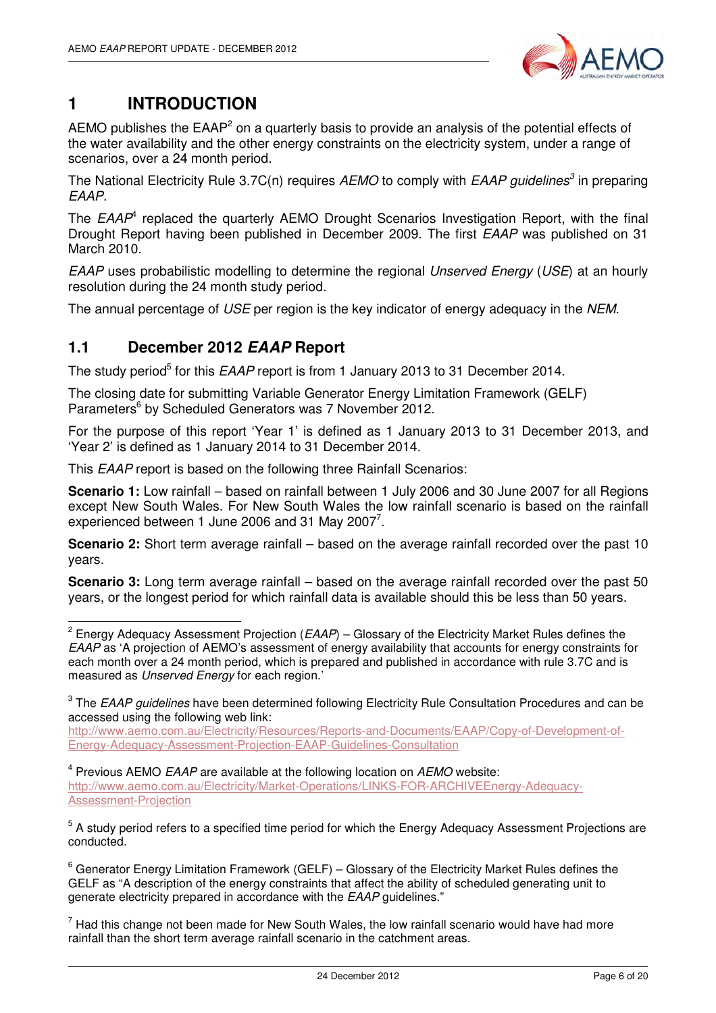

## **1 INTRODUCTION**

AEMO publishes the EAAP<sup>2</sup> on a quarterly basis to provide an analysis of the potential effects of the water availability and the other energy constraints on the electricity system, under a range of scenarios, over a 24 month period.

The National Electricity Rule 3.7C(n) requires AEMO to comply with EAAP guidelines<sup>3</sup> in preparing EAAP.

The  $EAAP<sup>4</sup>$  replaced the quarterly AEMO Drought Scenarios Investigation Report, with the final Drought Report having been published in December 2009. The first EAAP was published on 31 March 2010.

EAAP uses probabilistic modelling to determine the regional Unserved Energy (USE) at an hourly resolution during the 24 month study period.

The annual percentage of USE per region is the key indicator of energy adequacy in the NEM.

#### **1.1 December 2012 EAAP Report**

The study period<sup>5</sup> for this EAAP report is from 1 January 2013 to 31 December 2014.

The closing date for submitting Variable Generator Energy Limitation Framework (GELF) Parameters<sup>6</sup> by Scheduled Generators was 7 November 2012.

For the purpose of this report 'Year 1' is defined as 1 January 2013 to 31 December 2013, and 'Year 2' is defined as 1 January 2014 to 31 December 2014.

This EAAP report is based on the following three Rainfall Scenarios:

**Scenario 1:** Low rainfall – based on rainfall between 1 July 2006 and 30 June 2007 for all Regions except New South Wales. For New South Wales the low rainfall scenario is based on the rainfall experienced between 1 June 2006 and 31 May 2007<sup>7</sup>.

**Scenario 2:** Short term average rainfall – based on the average rainfall recorded over the past 10 years.

**Scenario 3:** Long term average rainfall – based on the average rainfall recorded over the past 50 years, or the longest period for which rainfall data is available should this be less than 50 years.

http://www.aemo.com.au/Electricity/Resources/Reports-and-Documents/EAAP/Copy-of-Development-of-Energy-Adequacy-Assessment-Projection-EAAP-Guidelines-Consultation

 $4$  Previous AEMO *EAAP* are available at the following location on *AEMO* website: http://www.aemo.com.au/Electricity/Market-Operations/LINKS-FOR-ARCHIVEEnergy-Adequacy-Assessment-Projection

<sup>5</sup> A study period refers to a specified time period for which the Energy Adequacy Assessment Projections are conducted.

 $^6$  Generator Energy Limitation Framework (GELF) – Glossary of the Electricity Market Rules defines the GELF as "A description of the energy constraints that affect the ability of scheduled generating unit to generate electricity prepared in accordance with the EAAP guidelines."

 $<sup>7</sup>$  Had this change not been made for New South Wales, the low rainfall scenario would have had more</sup> rainfall than the short term average rainfall scenario in the catchment areas.

 2 Energy Adequacy Assessment Projection (EAAP) – Glossary of the Electricity Market Rules defines the EAAP as 'A projection of AEMO's assessment of energy availability that accounts for energy constraints for each month over a 24 month period, which is prepared and published in accordance with rule 3.7C and is measured as Unserved Energy for each region.'

 $^3$  The *EAAP guidelines* have been determined following Electricity Rule Consultation Procedures and can be accessed using the following web link: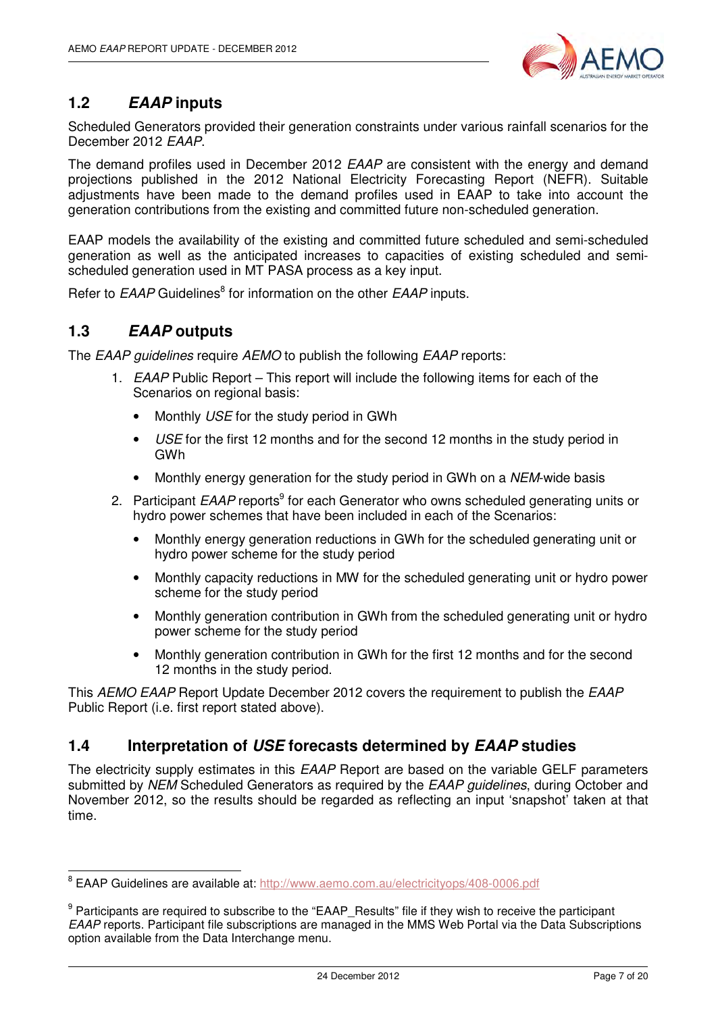

#### **1.2 EAAP inputs**

Scheduled Generators provided their generation constraints under various rainfall scenarios for the December 2012 EAAP.

The demand profiles used in December 2012 EAAP are consistent with the energy and demand projections published in the 2012 National Electricity Forecasting Report (NEFR). Suitable adjustments have been made to the demand profiles used in EAAP to take into account the generation contributions from the existing and committed future non-scheduled generation.

EAAP models the availability of the existing and committed future scheduled and semi-scheduled generation as well as the anticipated increases to capacities of existing scheduled and semischeduled generation used in MT PASA process as a key input.

Refer to *EAAP* Guidelines<sup>8</sup> for information on the other *EAAP* inputs.

#### **1.3 EAAP outputs**

The EAAP quidelines require AEMO to publish the following EAAP reports:

- 1. EAAP Public Report This report will include the following items for each of the Scenarios on regional basis:
	- Monthly USE for the study period in GWh
	- USE for the first 12 months and for the second 12 months in the study period in GWh
	- Monthly energy generation for the study period in GWh on a NEM-wide basis
- 2. Participant EAAP reports<sup>9</sup> for each Generator who owns scheduled generating units or hydro power schemes that have been included in each of the Scenarios:
	- Monthly energy generation reductions in GWh for the scheduled generating unit or hydro power scheme for the study period
	- Monthly capacity reductions in MW for the scheduled generating unit or hydro power scheme for the study period
	- Monthly generation contribution in GWh from the scheduled generating unit or hydro power scheme for the study period
	- Monthly generation contribution in GWh for the first 12 months and for the second 12 months in the study period.

This AEMO EAAP Report Update December 2012 covers the requirement to publish the EAAP Public Report (i.e. first report stated above).

#### **1.4 Interpretation of USE forecasts determined by EAAP studies**

The electricity supply estimates in this *EAAP* Report are based on the variable GELF parameters submitted by NEM Scheduled Generators as required by the EAAP guidelines, during October and November 2012, so the results should be regarded as reflecting an input 'snapshot' taken at that time.

ersen.<br>8 EAAP Guidelines are available at: http://www.aemo.com.au/electricityops/408-0006.pdf

<sup>&</sup>lt;sup>9</sup> Participants are required to subscribe to the "EAAP\_Results" file if they wish to receive the participant EAAP reports. Participant file subscriptions are managed in the MMS Web Portal via the Data Subscriptions option available from the Data Interchange menu.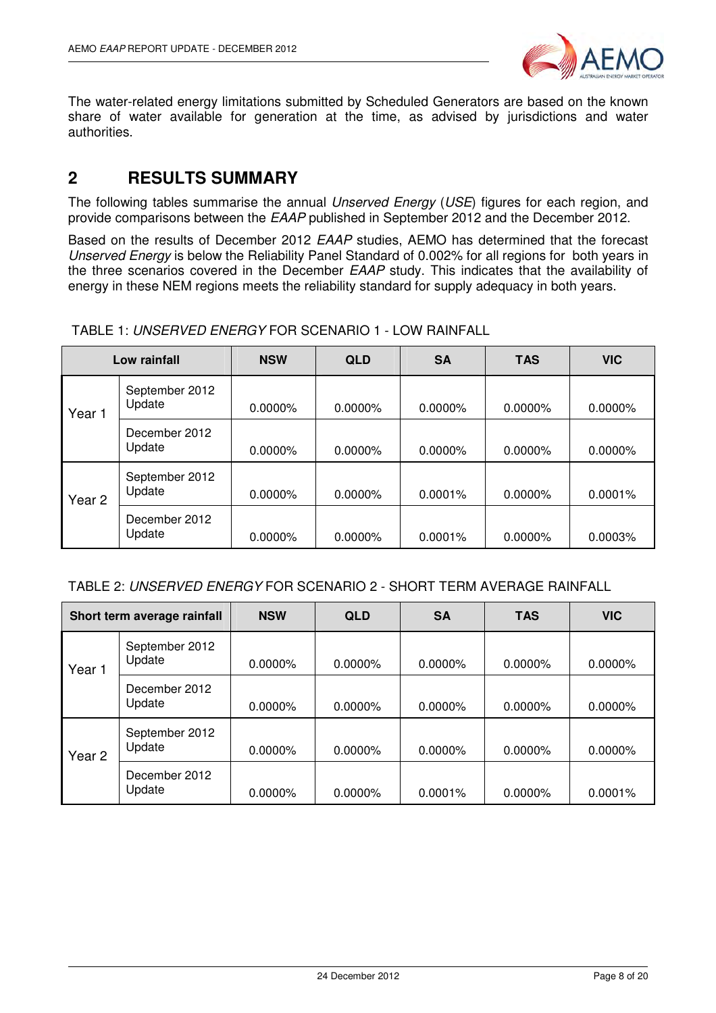

The water-related energy limitations submitted by Scheduled Generators are based on the known share of water available for generation at the time, as advised by jurisdictions and water authorities.

#### **2 RESULTS SUMMARY**

The following tables summarise the annual Unserved Energy (USE) figures for each region, and provide comparisons between the EAAP published in September 2012 and the December 2012.

Based on the results of December 2012 EAAP studies, AEMO has determined that the forecast Unserved Energy is below the Reliability Panel Standard of 0.002% for all regions for both years in the three scenarios covered in the December EAAP study. This indicates that the availability of energy in these NEM regions meets the reliability standard for supply adequacy in both years.

| Low rainfall |                          | <b>NSW</b> | <b>QLD</b> | <b>SA</b> | <b>TAS</b> | <b>VIC</b> |
|--------------|--------------------------|------------|------------|-----------|------------|------------|
| Year 1       | September 2012<br>Update | 0.0000%    | $0.0000\%$ | 0.0000%   | 0.0000%    | 0.0000%    |
|              | December 2012<br>Update  | 0.0000%    | $0.0000\%$ | 0.0000%   | 0.0000%    | 0.0000%    |
| Year 2       | September 2012<br>Update | 0.0000%    | $0.0000\%$ | 0.0001%   | 0.0000%    | 0.0001%    |
|              | December 2012<br>Update  | $0.0000\%$ | $0.0000\%$ | 0.0001%   | $0.0000\%$ | 0.0003%    |

TABLE 1: UNSERVED ENERGY FOR SCENARIO 1 - LOW RAINFALL

| Short term average rainfall |                          | <b>NSW</b> | <b>QLD</b> | <b>SA</b> | <b>TAS</b> | <b>VIC</b> |
|-----------------------------|--------------------------|------------|------------|-----------|------------|------------|
| Year 1                      | September 2012<br>Update | 0.0000%    | $0.0000\%$ | 0.0000%   | $0.0000\%$ | 0.0000%    |
|                             | December 2012<br>Update  | 0.0000%    | $0.0000\%$ | 0.0000%   | $0.0000\%$ | 0.0000%    |
| Year <sub>2</sub>           | September 2012<br>Update | 0.0000%    | $0.0000\%$ | 0.0000%   | $0.0000\%$ | 0.0000%    |
|                             | December 2012<br>Update  | 0.0000%    | $0.0000\%$ | 0.0001%   | $0.0000\%$ | $0.0001\%$ |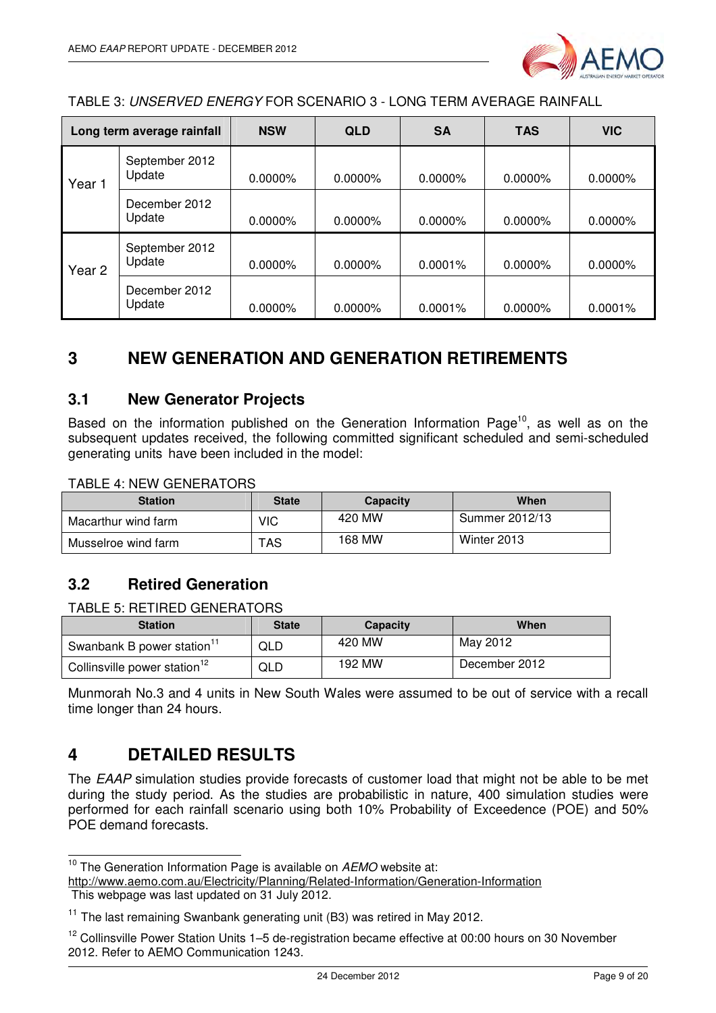

TABLE 3: UNSERVED ENERGY FOR SCENARIO 3 - LONG TERM AVERAGE RAINFALL

| Long term average rainfall |                          | <b>NSW</b> | <b>QLD</b> | <b>SA</b>  | <b>TAS</b> | <b>VIC</b> |
|----------------------------|--------------------------|------------|------------|------------|------------|------------|
| Year 1                     | September 2012<br>Update | $0.0000\%$ | $0.0000\%$ | $0.0000\%$ | $0.0000\%$ | $0.0000\%$ |
|                            | December 2012<br>Update  | 0.0000%    | $0.0000\%$ | $0.0000\%$ | 0.0000%    | 0.0000%    |
| Year 2                     | September 2012<br>Update | $0.0000\%$ | 0.0000%    | $0.0001\%$ | $0.0000\%$ | $0.0000\%$ |
|                            | December 2012<br>Update  | $0.0000\%$ | $0.0000\%$ | 0.0001%    | $0.0000\%$ | 0.0001%    |

### **3 NEW GENERATION AND GENERATION RETIREMENTS**

#### **3.1 New Generator Projects**

Based on the information published on the Generation Information Page<sup>10</sup>, as well as on the subsequent updates received, the following committed significant scheduled and semi-scheduled generating units have been included in the model:

TABLE 4: NEW GENERATORS

| <b>Station</b>      | <b>State</b> | <b>Capacity</b> | When           |
|---------------------|--------------|-----------------|----------------|
| Macarthur wind farm | VIC          | 420 MW          | Summer 2012/13 |
| Musselroe wind farm | TAS          | 168 MW          | Winter 2013    |

#### **3.2 Retired Generation**

#### TABLE 5: RETIRED GENERATORS

| <b>Station</b>                           | <b>State</b> | <b>Capacity</b> | When          |
|------------------------------------------|--------------|-----------------|---------------|
| Swanbank B power station <sup>11</sup>   | QLD          | 420 MW          | May 2012      |
| Collinsville power station <sup>12</sup> | QLD          | 192 MW          | December 2012 |

Munmorah No.3 and 4 units in New South Wales were assumed to be out of service with a recall time longer than 24 hours.

#### **4 DETAILED RESULTS**

The EAAP simulation studies provide forecasts of customer load that might not be able to be met during the study period. As the studies are probabilistic in nature, 400 simulation studies were performed for each rainfall scenario using both 10% Probability of Exceedence (POE) and 50% POE demand forecasts.

http://www.aemo.com.au/Electricity/Planning/Related-Information/Generation-Information This webpage was last updated on 31 July 2012.

 $\overline{\phantom{a}}$  $10$  The Generation Information Page is available on  $AEMO$  website at:

<sup>&</sup>lt;sup>11</sup> The last remaining Swanbank generating unit (B3) was retired in May 2012.

<sup>&</sup>lt;sup>12</sup> Collinsville Power Station Units 1–5 de-registration became effective at 00:00 hours on 30 November 2012. Refer to AEMO Communication 1243.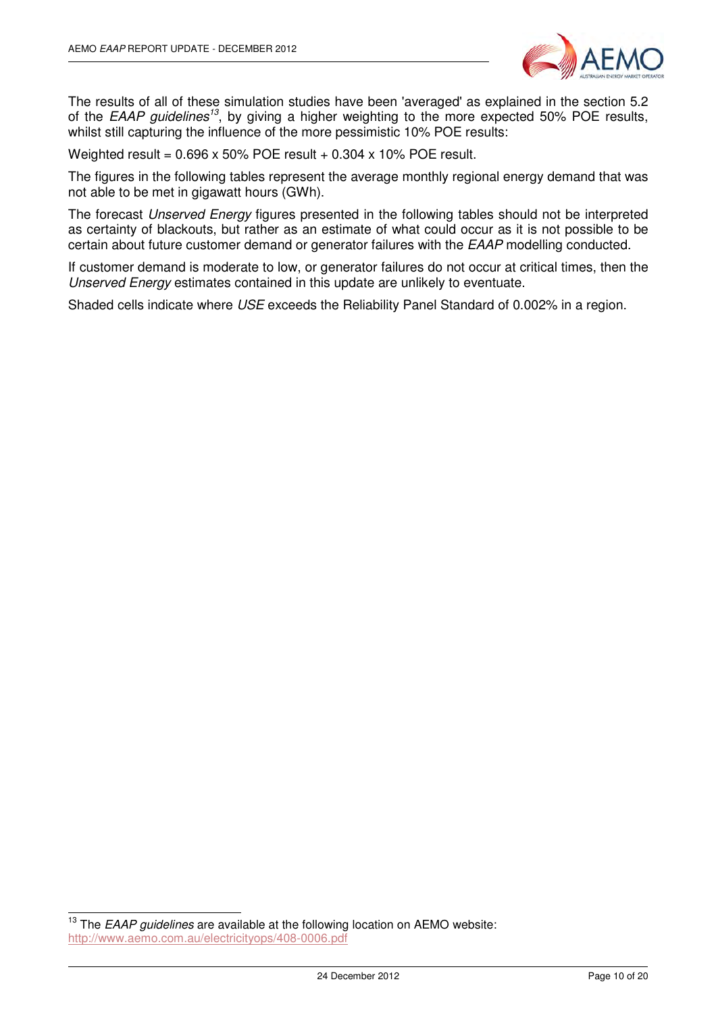

The results of all of these simulation studies have been 'averaged' as explained in the section 5.2 of the EAAP guidelines<sup>13</sup>, by giving a higher weighting to the more expected 50% POE results, whilst still capturing the influence of the more pessimistic 10% POE results:

Weighted result =  $0.696 \times 50\%$  POE result +  $0.304 \times 10\%$  POE result.

The figures in the following tables represent the average monthly regional energy demand that was not able to be met in gigawatt hours (GWh).

The forecast Unserved Energy figures presented in the following tables should not be interpreted as certainty of blackouts, but rather as an estimate of what could occur as it is not possible to be certain about future customer demand or generator failures with the EAAP modelling conducted.

If customer demand is moderate to low, or generator failures do not occur at critical times, then the Unserved Energy estimates contained in this update are unlikely to eventuate.

Shaded cells indicate where USE exceeds the Reliability Panel Standard of 0.002% in a region.

 $\overline{\phantom{a}}$ 

 $13$  The EAAP guidelines are available at the following location on AEMO website: http://www.aemo.com.au/electricityops/408-0006.pdf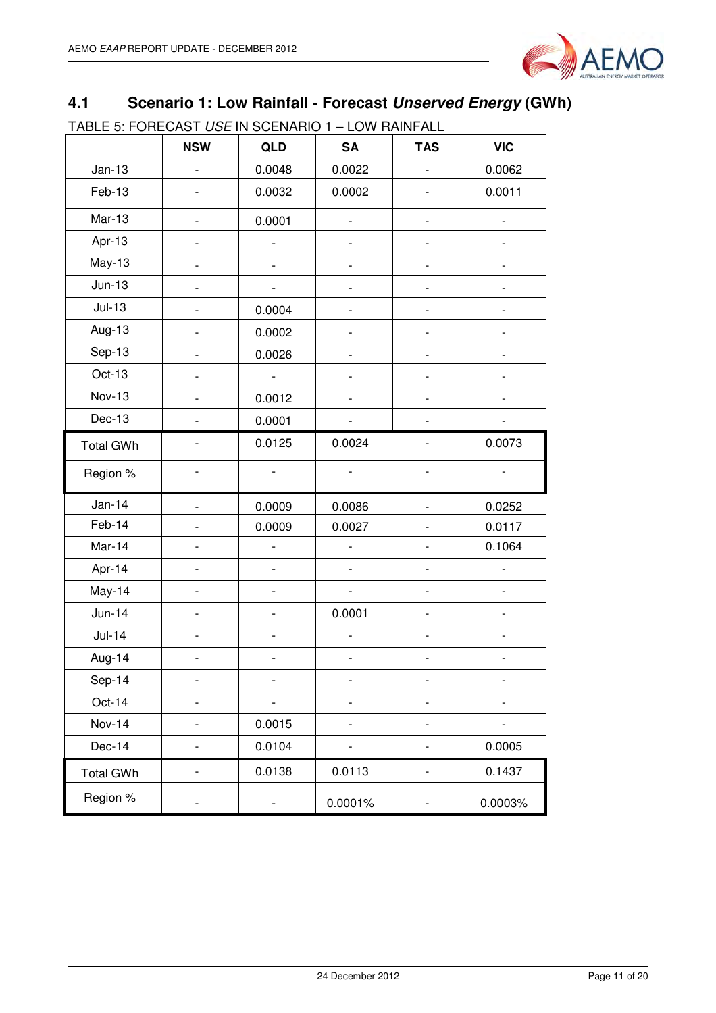

## **4.1 Scenario 1: Low Rainfall - Forecast Unserved Energy (GWh)**

TABLE 5: FORECAST USE IN SCENARIO 1 – LOW RAINFALL

|                  | <b>NSW</b>                   | QLD                          | <b>SA</b>                | <b>TAS</b>               | <b>VIC</b>               |
|------------------|------------------------------|------------------------------|--------------------------|--------------------------|--------------------------|
| $Jan-13$         |                              | 0.0048                       | 0.0022                   |                          | 0.0062                   |
| Feb-13           |                              | 0.0032                       | 0.0002                   |                          | 0.0011                   |
| Mar-13           |                              | 0.0001                       | $\overline{a}$           |                          |                          |
| Apr-13           |                              |                              |                          |                          |                          |
| $May-13$         |                              |                              | $\overline{\phantom{0}}$ | -                        |                          |
| $Jun-13$         |                              |                              |                          |                          |                          |
| $Jul-13$         |                              | 0.0004                       | $\overline{a}$           |                          |                          |
| Aug-13           |                              | 0.0002                       |                          |                          |                          |
| Sep-13           |                              | 0.0026                       |                          |                          |                          |
| Oct-13           |                              | $\frac{1}{2}$                |                          |                          |                          |
| Nov-13           |                              | 0.0012                       |                          |                          |                          |
| Dec-13           |                              | 0.0001                       |                          |                          |                          |
| <b>Total GWh</b> |                              | 0.0125                       | 0.0024                   |                          | 0.0073                   |
| Region %         |                              |                              |                          |                          |                          |
| $Jan-14$         |                              | 0.0009                       | 0.0086                   |                          | 0.0252                   |
| Feb-14           |                              | 0.0009                       | 0.0027                   |                          | 0.0117                   |
| Mar-14           |                              |                              | $\overline{\phantom{a}}$ |                          | 0.1064                   |
| Apr-14           | $\overline{\phantom{0}}$     | $\qquad \qquad \blacksquare$ | $\overline{\phantom{a}}$ | $\overline{\phantom{0}}$ | $\overline{\phantom{0}}$ |
| May-14           | $\overline{a}$               | $\qquad \qquad \blacksquare$ | $\overline{\phantom{a}}$ |                          |                          |
| $Jun-14$         | $\overline{a}$               | $\overline{\phantom{a}}$     | 0.0001                   | $\overline{\phantom{0}}$ | $\overline{a}$           |
| $Jul-14$         |                              |                              |                          |                          |                          |
| Aug-14           |                              |                              |                          |                          |                          |
| Sep-14           |                              |                              |                          |                          |                          |
| Oct-14           |                              |                              |                          |                          |                          |
| <b>Nov-14</b>    |                              | 0.0015                       |                          |                          |                          |
| Dec-14           | $\qquad \qquad \blacksquare$ | 0.0104                       | $\qquad \qquad -$        | $\overline{\phantom{0}}$ | 0.0005                   |
| <b>Total GWh</b> | -                            | 0.0138                       | 0.0113                   | $\overline{\phantom{0}}$ | 0.1437                   |
| Region %         |                              |                              | 0.0001%                  |                          | 0.0003%                  |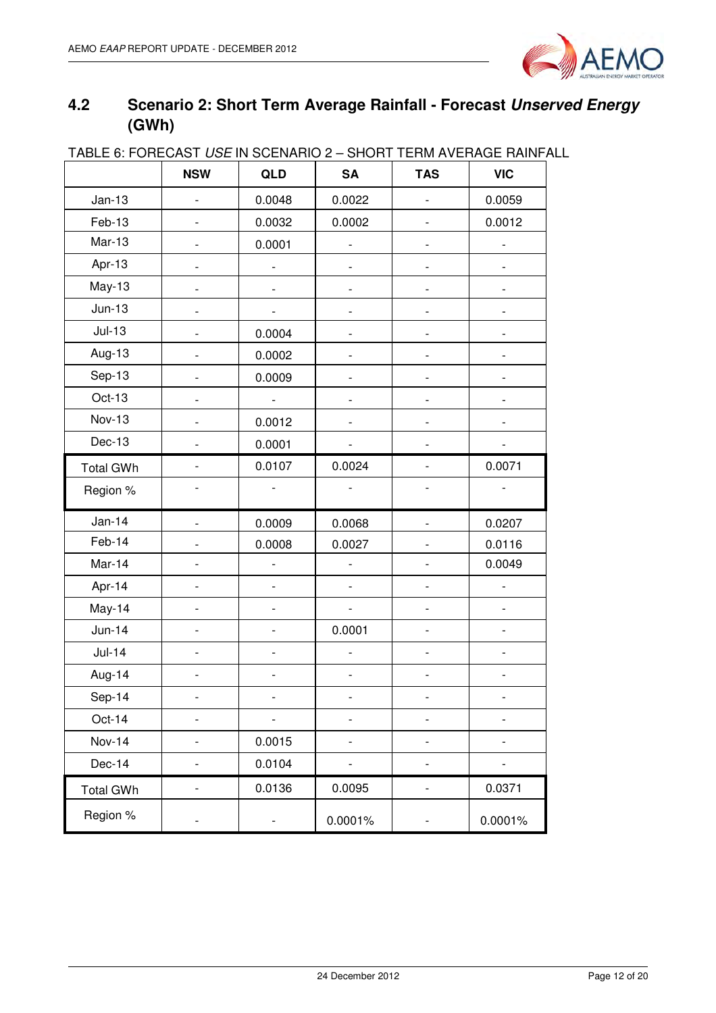

## **4.2 Scenario 2: Short Term Average Rainfall - Forecast Unserved Energy (GWh)**

|                  | <b>NSW</b>                   | QLD                      | <b>SA</b>                    | <b>TAS</b>                   | <b>VIC</b>               |
|------------------|------------------------------|--------------------------|------------------------------|------------------------------|--------------------------|
| $Jan-13$         |                              | 0.0048                   | 0.0022                       |                              | 0.0059                   |
| Feb-13           |                              | 0.0032                   | 0.0002                       |                              | 0.0012                   |
| $Mar-13$         |                              | 0.0001                   |                              |                              |                          |
| Apr-13           |                              |                          |                              |                              |                          |
| May-13           |                              |                          |                              | -                            |                          |
| $Jun-13$         |                              |                          |                              |                              |                          |
| $Jul-13$         |                              | 0.0004                   |                              | -                            |                          |
| Aug-13           |                              | 0.0002                   |                              |                              |                          |
| Sep-13           |                              | 0.0009                   |                              | $\overline{\phantom{0}}$     |                          |
| Oct-13           |                              | $\frac{1}{2}$            |                              |                              |                          |
| Nov-13           |                              | 0.0012                   |                              | $\overline{a}$               |                          |
| Dec-13           |                              | 0.0001                   |                              |                              |                          |
| <b>Total GWh</b> |                              | 0.0107                   | 0.0024                       |                              | 0.0071                   |
| Region %         |                              |                          |                              |                              |                          |
| <b>Jan-14</b>    |                              | 0.0009                   | 0.0068                       |                              | 0.0207                   |
| Feb-14           |                              | 0.0008                   | 0.0027                       |                              | 0.0116                   |
| Mar-14           |                              | $\overline{\phantom{0}}$ |                              |                              | 0.0049                   |
| Apr-14           |                              |                          |                              |                              |                          |
| May-14           | $\overline{a}$               | $\overline{\phantom{0}}$ | $\overline{\phantom{0}}$     | $\frac{1}{2}$                | $\overline{\phantom{a}}$ |
| $Jun-14$         |                              | $\overline{\phantom{0}}$ | 0.0001                       | $\overline{\phantom{0}}$     |                          |
| $Jul-14$         | $\qquad \qquad \blacksquare$ | $\overline{\phantom{0}}$ |                              | $\qquad \qquad \blacksquare$ | $\overline{\phantom{0}}$ |
| Aug-14           | $\overline{a}$               | $\overline{\phantom{0}}$ | $\qquad \qquad \blacksquare$ | $\qquad \qquad \blacksquare$ | $\overline{\phantom{0}}$ |
| Sep-14           |                              |                          |                              |                              |                          |
| Oct-14           | $\overline{a}$               | -                        | -                            | -                            | -                        |
| <b>Nov-14</b>    |                              | 0.0015                   |                              | -                            |                          |
| Dec-14           |                              | 0.0104                   |                              | -                            |                          |
| <b>Total GWh</b> | $\overline{\phantom{a}}$     | 0.0136                   | 0.0095                       | $\overline{\phantom{a}}$     | 0.0371                   |
| Region %         |                              |                          | 0.0001%                      |                              | 0.0001%                  |

#### TABLE 6: FORECAST USE IN SCENARIO 2 – SHORT TERM AVERAGE RAINFALL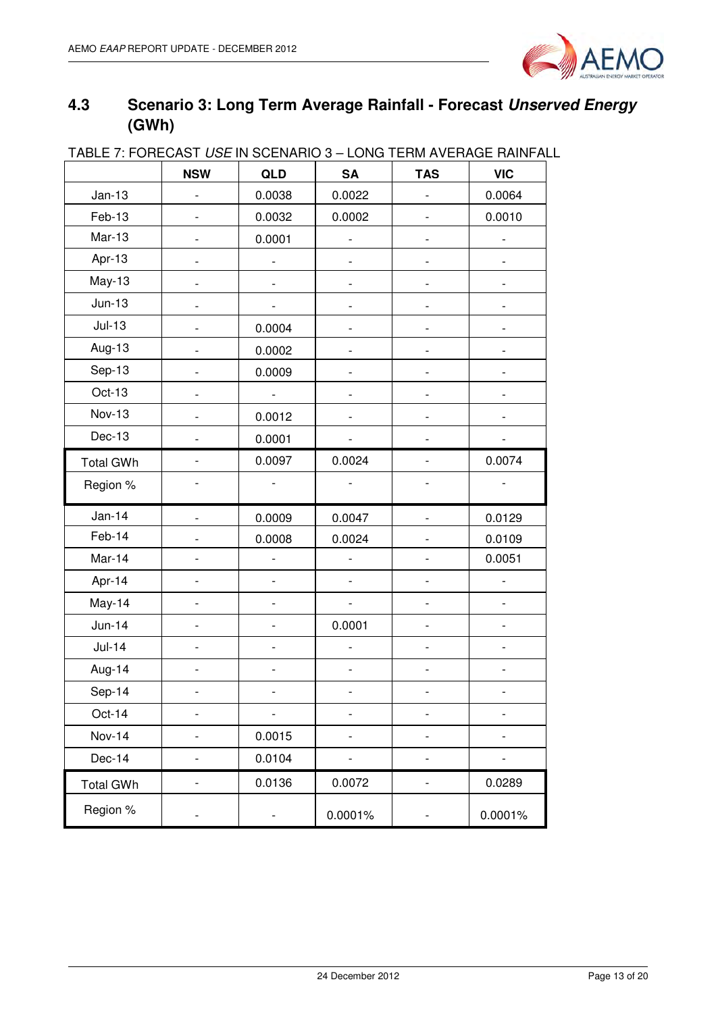

## **4.3 Scenario 3: Long Term Average Rainfall - Forecast Unserved Energy (GWh)**

| <u>INDEE / I UNEUAST OSE IN SULNAINU S TEUNG TENIN AVENAUE NAINI AL</u> | <b>NSW</b>                   | QLD                          | <b>SA</b>                    | <b>TAS</b>                   | <b>VIC</b> |
|-------------------------------------------------------------------------|------------------------------|------------------------------|------------------------------|------------------------------|------------|
| $Jan-13$                                                                | $\qquad \qquad \blacksquare$ | 0.0038                       | 0.0022                       | $\frac{1}{2}$                | 0.0064     |
| Feb-13                                                                  |                              | 0.0032                       | 0.0002                       |                              | 0.0010     |
| $Mar-13$                                                                |                              | 0.0001                       | $\overline{a}$               |                              |            |
| Apr-13                                                                  |                              |                              | $\qquad \qquad \blacksquare$ |                              |            |
| $May-13$                                                                |                              |                              |                              |                              |            |
| $Jun-13$                                                                |                              |                              |                              |                              |            |
| $Jul-13$                                                                |                              | 0.0004                       |                              |                              |            |
| Aug-13                                                                  |                              | 0.0002                       |                              |                              |            |
| Sep-13                                                                  |                              | 0.0009                       |                              |                              |            |
| Oct-13                                                                  |                              |                              |                              |                              |            |
| <b>Nov-13</b>                                                           |                              | 0.0012                       |                              | $\overline{\phantom{0}}$     |            |
| Dec-13                                                                  | $\overline{a}$               | 0.0001                       |                              | $\overline{a}$               |            |
| <b>Total GWh</b>                                                        |                              | 0.0097                       | 0.0024                       |                              | 0.0074     |
| Region %                                                                |                              |                              |                              |                              |            |
| $Jan-14$                                                                | $\overline{\phantom{0}}$     | 0.0009                       | 0.0047                       | $\qquad \qquad \blacksquare$ | 0.0129     |
| Feb-14                                                                  |                              | 0.0008                       | 0.0024                       |                              | 0.0109     |
| Mar-14                                                                  |                              | $\frac{1}{2}$                | $\overline{\phantom{a}}$     |                              | 0.0051     |
| Apr-14                                                                  |                              | $\qquad \qquad \blacksquare$ | $\qquad \qquad \blacksquare$ | $\overline{\phantom{0}}$     |            |
| May-14                                                                  | $\overline{a}$               | $\qquad \qquad \blacksquare$ | $\qquad \qquad \blacksquare$ | $\overline{\phantom{0}}$     |            |
| $Jun-14$                                                                |                              |                              | 0.0001                       |                              |            |
| $Jul-14$                                                                | -                            | $\qquad \qquad \blacksquare$ | $\qquad \qquad \blacksquare$ | $\qquad \qquad \blacksquare$ |            |
| Aug-14                                                                  |                              |                              |                              |                              |            |
| Sep-14                                                                  |                              |                              |                              |                              |            |
| Oct-14                                                                  | -                            | $\qquad \qquad \blacksquare$ | -                            | $\overline{a}$               |            |
| <b>Nov-14</b>                                                           | $\qquad \qquad \blacksquare$ | 0.0015                       | -                            | -                            |            |
| Dec-14                                                                  | $\qquad \qquad \blacksquare$ | 0.0104                       | -                            | -                            |            |
| <b>Total GWh</b>                                                        | -                            | 0.0136                       | 0.0072                       | -                            | 0.0289     |
| Region %                                                                | -                            | -                            | 0.0001%                      | -                            | 0.0001%    |

### TABLE 7: FORECAST USE IN SCENARIO 3 – LONG TERM AVERAGE RAINFALL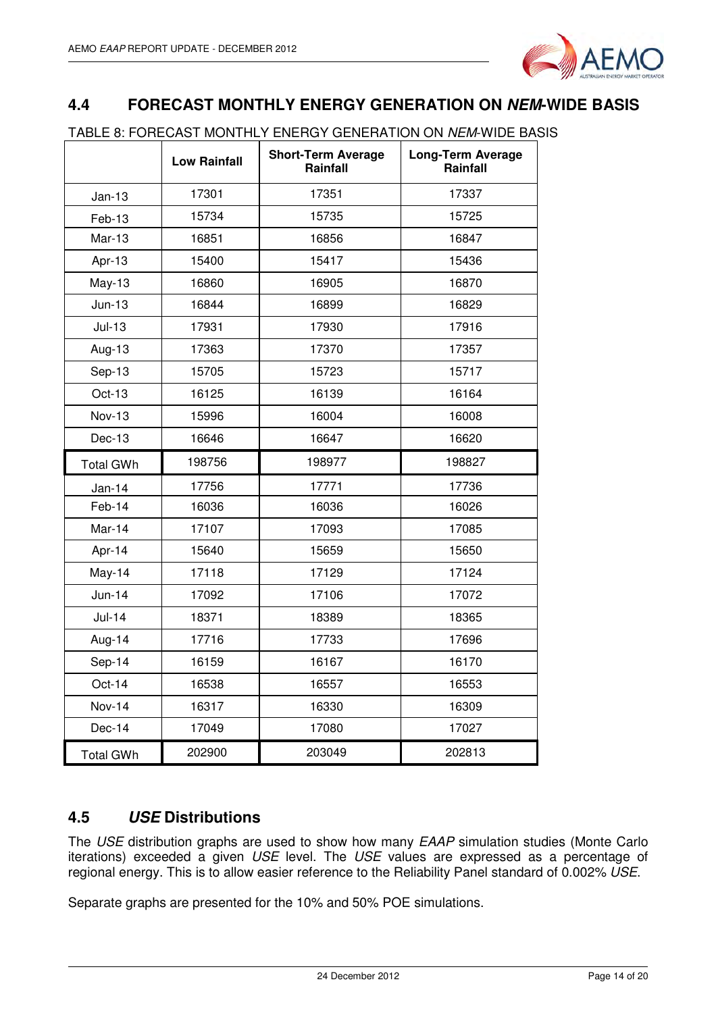

#### **4.4 FORECAST MONTHLY ENERGY GENERATION ON NEM-WIDE BASIS**

TABLE 8: FORECAST MONTHLY ENERGY GENERATION ON NEM-WIDE BASIS

|                  | <b>Low Rainfall</b> | <b>Short-Term Average</b><br>Rainfall | <b>Long-Term Average</b><br>Rainfall |
|------------------|---------------------|---------------------------------------|--------------------------------------|
| $Jan-13$         | 17301               | 17351                                 | 17337                                |
| $Feb-13$         | 15734               | 15735                                 | 15725                                |
| $Mar-13$         | 16851               | 16856                                 | 16847                                |
| Apr-13           | 15400               | 15417                                 | 15436                                |
| $May-13$         | 16860               | 16905                                 | 16870                                |
| $Jun-13$         | 16844               | 16899                                 | 16829                                |
| $Jul-13$         | 17931               | 17930                                 | 17916                                |
| Aug-13           | 17363               | 17370                                 | 17357                                |
| Sep-13           | 15705               | 15723                                 | 15717                                |
| Oct-13           | 16125               | 16139                                 | 16164                                |
| <b>Nov-13</b>    | 15996               | 16004                                 | 16008                                |
| Dec-13           | 16646               | 16647                                 | 16620                                |
| <b>Total GWh</b> | 198756              | 198977                                | 198827                               |
| $Jan-14$         | 17756               | 17771                                 | 17736                                |
| Feb-14           | 16036               | 16036                                 | 16026                                |
| Mar-14           | 17107               | 17093                                 | 17085                                |
| Apr-14           | 15640               | 15659                                 | 15650                                |
| May-14           | 17118               | 17129                                 | 17124                                |
| $Jun-14$         | 17092               | 17106                                 | 17072                                |
| $Jul-14$         | 18371               | 18389                                 | 18365                                |
| Aug-14           | 17716               | 17733                                 | 17696                                |
| Sep-14           | 16159               | 16167                                 | 16170                                |
| Oct-14           | 16538               | 16557                                 | 16553                                |
| Nov-14           | 16317               | 16330                                 | 16309                                |
| Dec-14           | 17049               | 17080                                 | 17027                                |
|                  |                     |                                       |                                      |

#### **4.5 USE Distributions**

The USE distribution graphs are used to show how many EAAP simulation studies (Monte Carlo iterations) exceeded a given USE level. The USE values are expressed as a percentage of regional energy. This is to allow easier reference to the Reliability Panel standard of 0.002% USE.

Separate graphs are presented for the 10% and 50% POE simulations.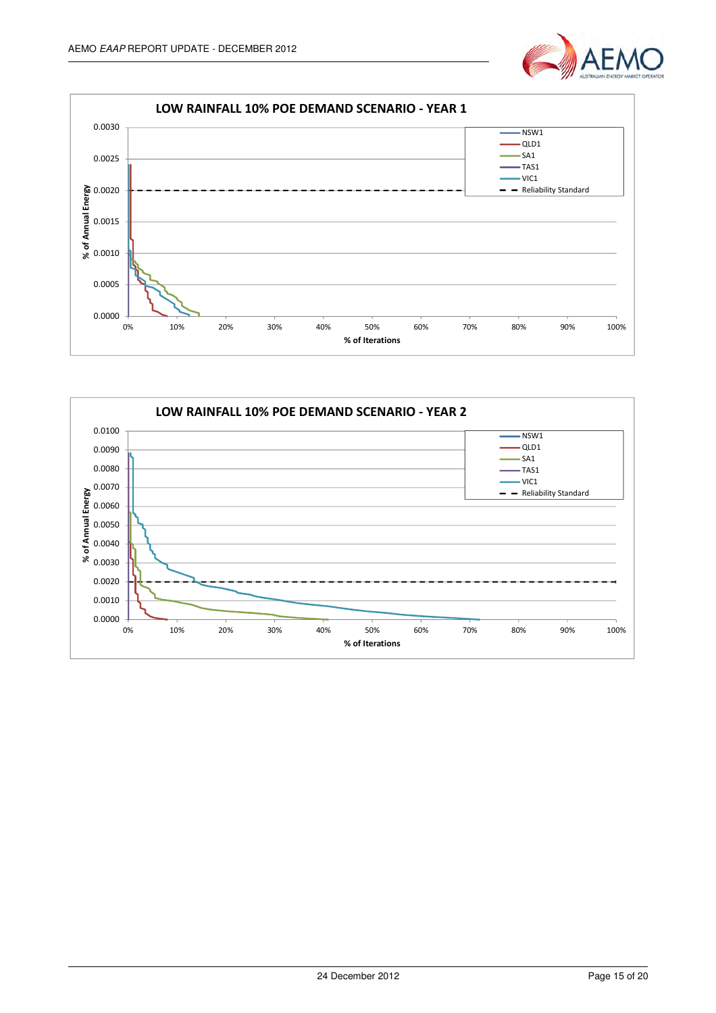



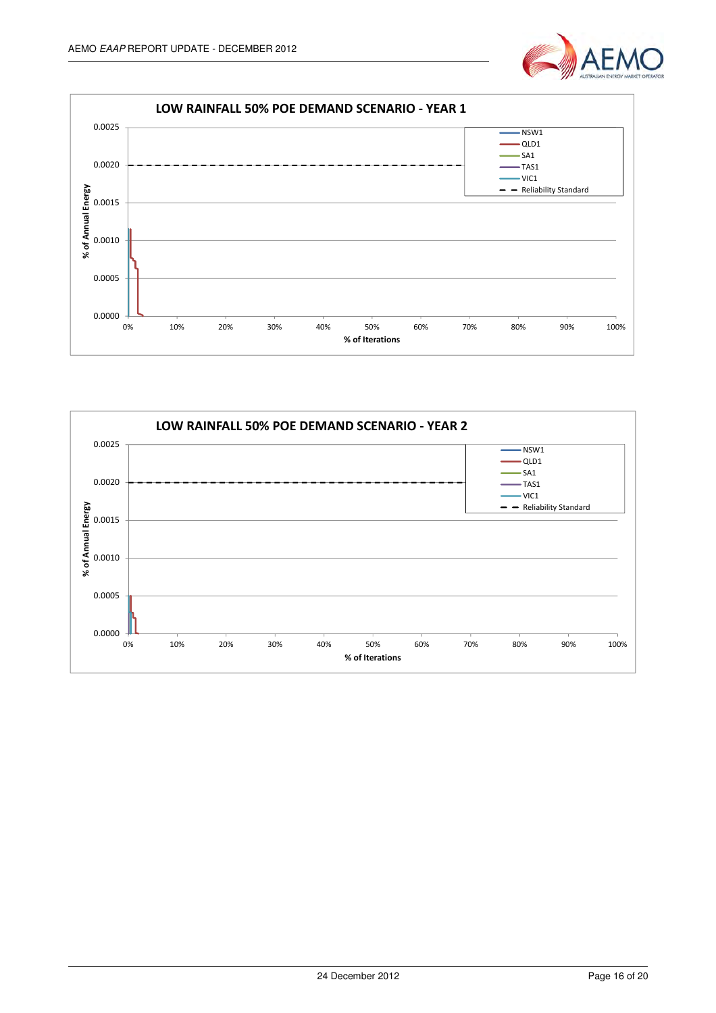



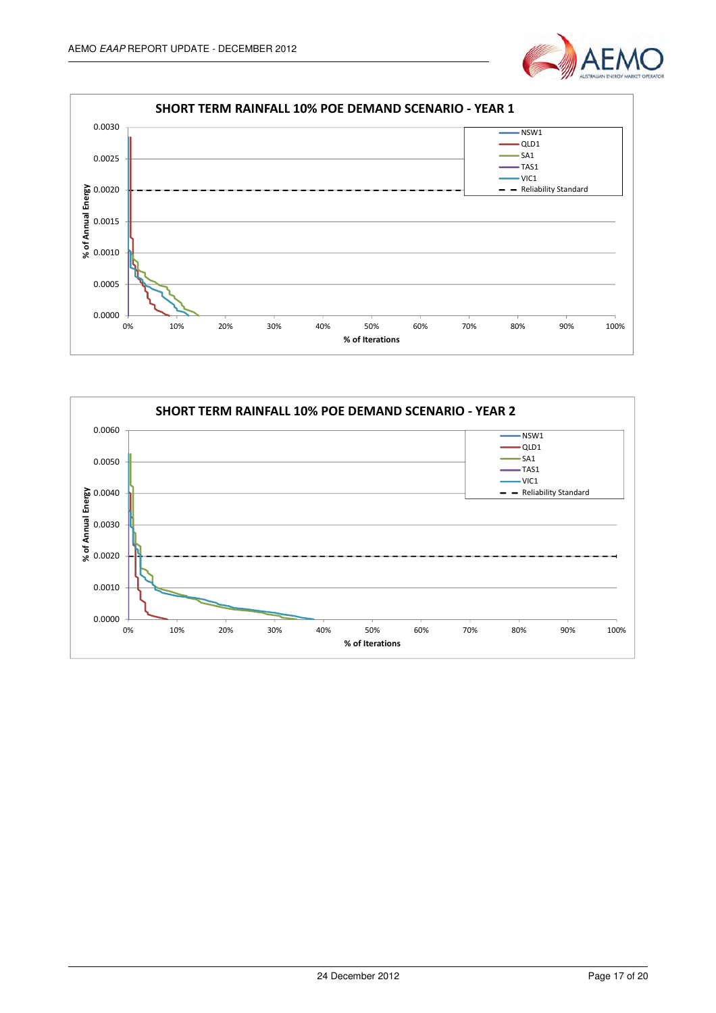



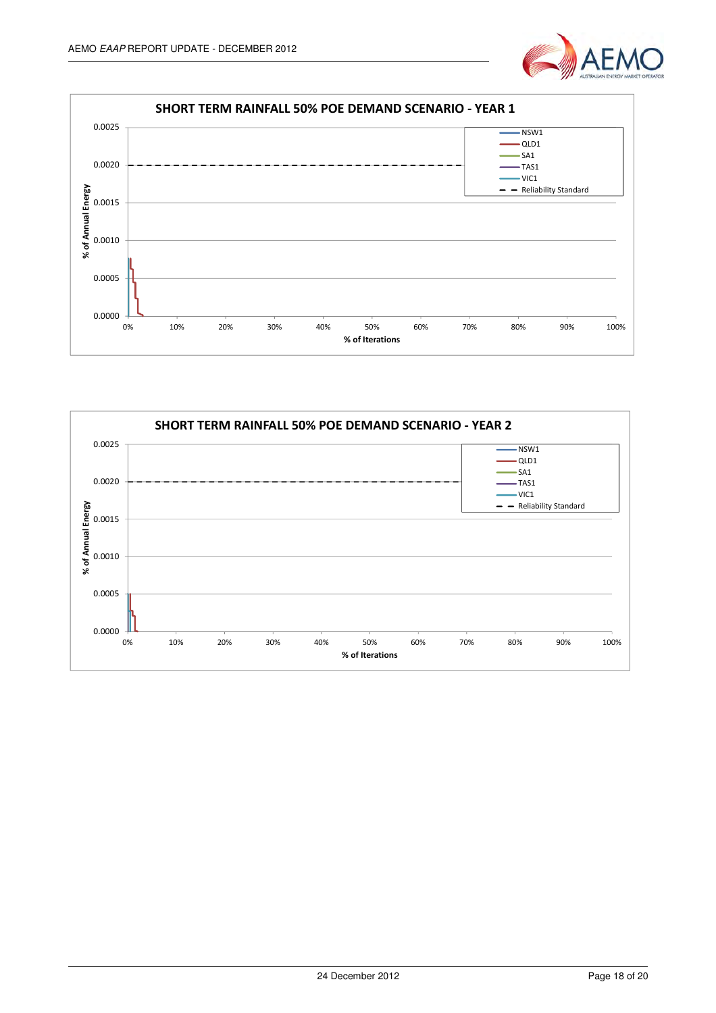



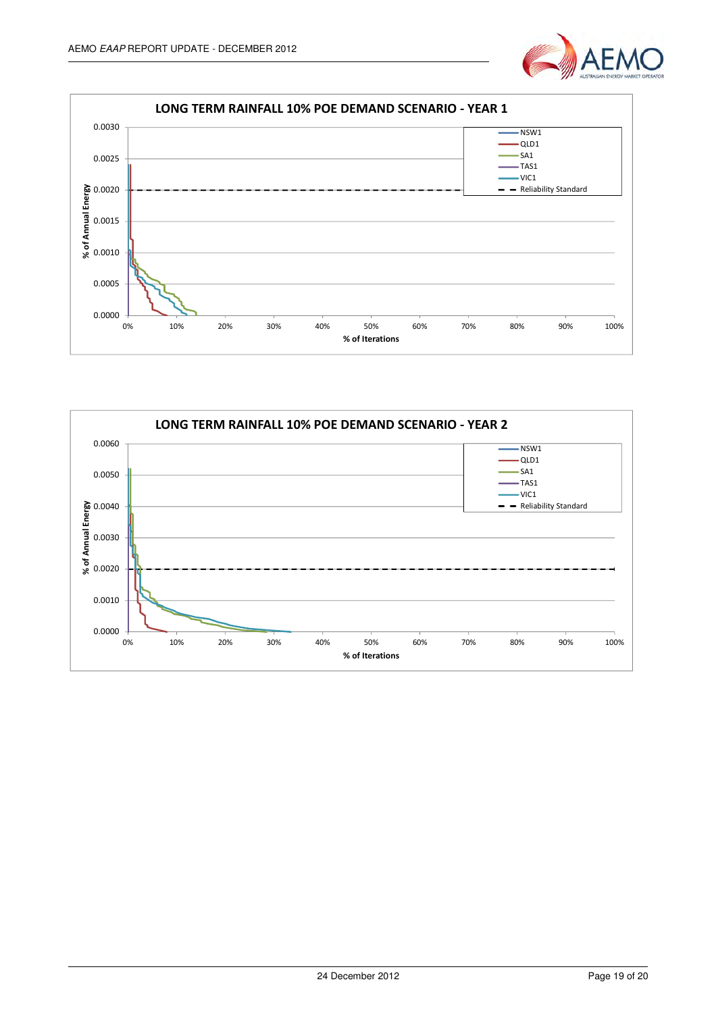